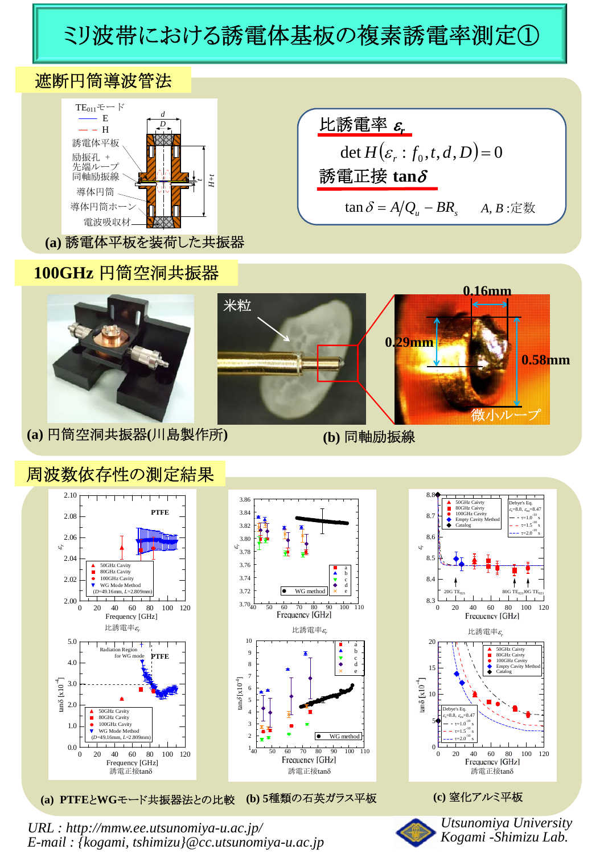## ミリ波帯における誘電体基板の複素誘電率測定①





## **100GHz** 円筒空洞共振器





## 周波数依存性の測定結果





**(a) PTFE**と**WG**モード共振器法との比較 **(b) 5**種類の石英ガラス平板 **(c)** 窒化アルミ平板



*URL : http://mmw.ee.utsunomiya-u.ac.jp/ E-mail : {kogami, tshimizu}@cc.utsunomiya-u.ac.jp*



*Utsunomiya University Kogami -Shimizu Lab.*